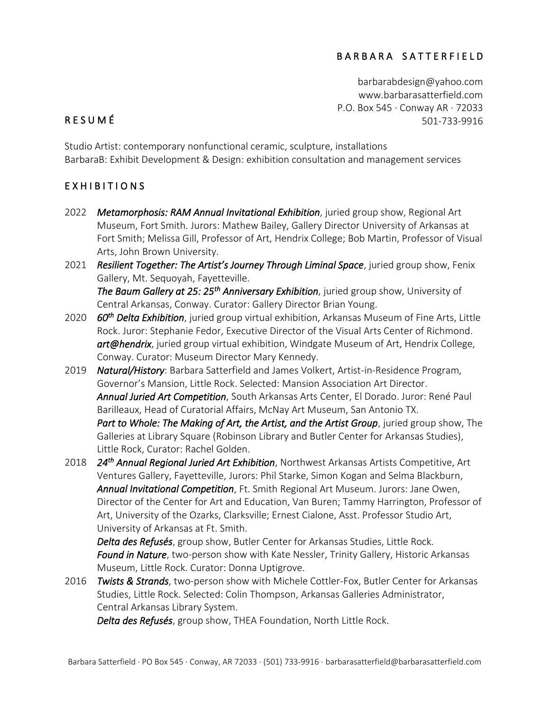#### B A R B A R A S A T T E R F I E L D

[barbarabdesign@yahoo.com](mailto:barbarabdesign@yahoo.com) [www.barbarasatterfield.com](http://www.barbarasatterfield.com/) P.O. Box 545 · Conway AR · 72033 501-733-9916

# R E S U M É

Studio Artist: contemporary nonfunctional ceramic, sculpture, installations BarbaraB: Exhibit Development & Design: exhibition consultation and management services

#### EXHIBITIONS

- 2022 *Metamorphosis: RAM Annual Invitational Exhibition*, juried group show, Regional Art Museum, Fort Smith. Jurors: Mathew Bailey, Gallery Director University of Arkansas at Fort Smith; Melissa Gill, Professor of Art, Hendrix College; Bob Martin, Professor of Visual Arts, John Brown University.
- 2021 *Resilient Together: The Artist's Journey Through Liminal Space*, juried group show, Fenix Gallery, Mt. Sequoyah, Fayetteville. *The Baum Gallery at 25: 25th Anniversary Exhibition*, juried group show, University of Central Arkansas, Conway. Curator: Gallery Director Brian Young.
- 2020 *60th Delta Exhibition*, juried group virtual exhibition, Arkansas Museum of Fine Arts, Little Rock. Juror: Stephanie Fedor, Executive Director of the Visual Arts Center of Richmond. *art@hendrix*, juried group virtual exhibition, Windgate Museum of Art, Hendrix College, Conway. Curator: Museum Director Mary Kennedy.
- 2019 *Natural/History*: Barbara Satterfield and James Volkert, Artist-in-Residence Program, Governor's Mansion, Little Rock. Selected: Mansion Association Art Director. *Annual Juried Art Competition*, South Arkansas Arts Center, El Dorado. Juror: René Paul Barilleaux, Head of Curatorial Affairs, McNay Art Museum, San Antonio TX. *Part to Whole: The Making of Art, the Artist, and the Artist Group*, juried group show, The Galleries at Library Square (Robinson Library and Butler Center for Arkansas Studies), Little Rock, Curator: Rachel Golden.
- 2018 *24th Annual Regional Juried Art Exhibition*, Northwest Arkansas Artists Competitive, Art Ventures Gallery, Fayetteville, Jurors: Phil Starke, Simon Kogan and Selma Blackburn, *Annual Invitational Competition*, Ft. Smith Regional Art Museum. Jurors: Jane Owen, Director of the Center for Art and Education, Van Buren; Tammy Harrington, Professor of Art, University of the Ozarks, Clarksville; Ernest Cialone, Asst. Professor Studio Art, University of Arkansas at Ft. Smith.

*Delta des Refusés*, group show, Butler Center for Arkansas Studies, Little Rock. *Found in Nature*, two-person show with Kate Nessler, Trinity Gallery, Historic Arkansas Museum, Little Rock. Curator: Donna Uptigrove.

2016 *Twists & Strands*, two-person show with Michele Cottler-Fox, Butler Center for Arkansas Studies, Little Rock. Selected: Colin Thompson, Arkansas Galleries Administrator, Central Arkansas Library System.

*Delta des Refusés*, group show, THEA Foundation, North Little Rock.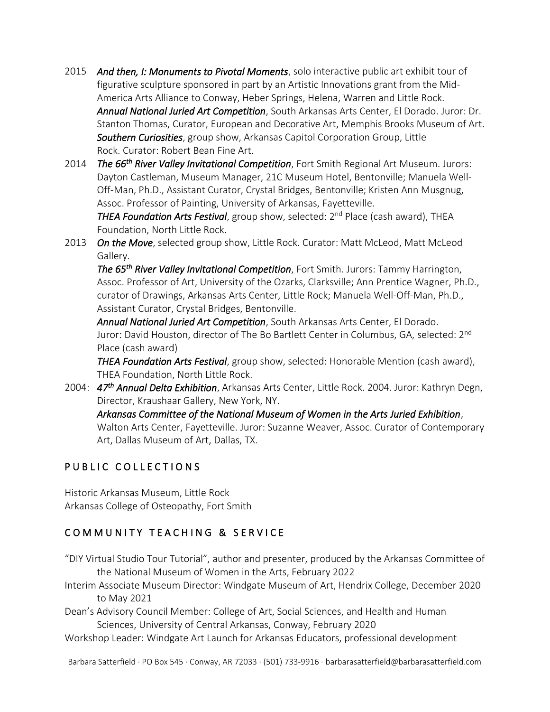- 2015 *And then, I: Monuments to Pivotal Moments*, solo interactive public art exhibit tour of figurative sculpture sponsored in part by an Artistic Innovations grant from the Mid-America Arts Alliance to Conway, Heber Springs, Helena, Warren and Little Rock. *Annual National Juried Art Competition*, South Arkansas Arts Center, El Dorado. Juror: Dr. Stanton Thomas, Curator, European and Decorative Art, Memphis Brooks Museum of Art. *Southern Curiosities*, group show, Arkansas Capitol Corporation Group, Little Rock. Curator: Robert Bean Fine Art.
- 2014 The 66<sup>th</sup> River Valley Invitational Competition, Fort Smith Regional Art Museum. Jurors: Dayton Castleman, Museum Manager, 21C Museum Hotel, Bentonville; Manuela Well-Off-Man, Ph.D., Assistant Curator, Crystal Bridges, Bentonville; Kristen Ann Musgnug, Assoc. Professor of Painting, University of Arkansas, Fayetteville.

*THEA Foundation Arts Festival*, group show, selected: 2nd Place (cash award), THEA Foundation, North Little Rock.

2013 *On the Move*, selected group show, Little Rock. Curator: Matt McLeod, Matt McLeod Gallery.

*The 65th River Valley Invitational Competition*, Fort Smith. Jurors: Tammy Harrington, Assoc. Professor of Art, University of the Ozarks, Clarksville; Ann Prentice Wagner, Ph.D., curator of Drawings, Arkansas Arts Center, Little Rock; Manuela Well-Off-Man, Ph.D., Assistant Curator, Crystal Bridges, Bentonville.

*Annual National Juried Art Competition*, South Arkansas Arts Center, El Dorado. Juror: David Houston, director of The Bo Bartlett Center in Columbus, GA, selected: 2nd Place (cash award)

*THEA Foundation Arts Festival*, group show, selected: Honorable Mention (cash award), THEA Foundation, North Little Rock.

2004: *47th Annual Delta Exhibition*, Arkansas Arts Center, Little Rock. 2004. Juror: Kathryn Degn, Director, Kraushaar Gallery, New York, NY. *Arkansas Committee of the National Museum of Women in the Arts Juried Exhibition*,

Walton Arts Center, Fayetteville. Juror: Suzanne Weaver, Assoc. Curator of Contemporary Art, Dallas Museum of Art, Dallas, TX.

## PUBLIC COLLECTIONS

Historic Arkansas Museum, Little Rock Arkansas College of Osteopathy, Fort Smith

## COMMUNITY TEACHING & SERVICE

- "DIY Virtual Studio Tour Tutorial", author and presenter, produced by the Arkansas Committee of the National Museum of Women in the Arts, February 2022
- Interim Associate Museum Director: Windgate Museum of Art, Hendrix College, December 2020 to May 2021
- Dean's Advisory Council Member: College of Art, Social Sciences, and Health and Human Sciences, University of Central Arkansas, Conway, February 2020
- Workshop Leader: Windgate Art Launch for Arkansas Educators, professional development

Barbara Satterfield · PO Box 545 · Conway, AR 72033 · (501) 733-9916 · barbarasatterfield@barbarasatterfield.com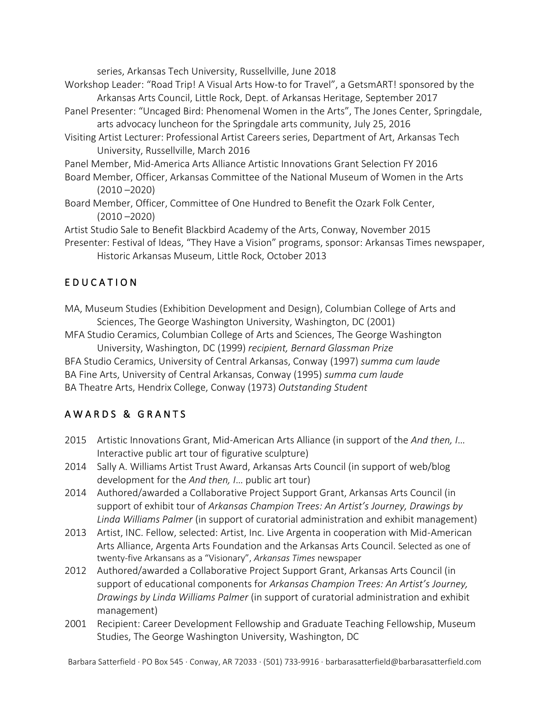series, Arkansas Tech University, Russellville, June 2018

- Workshop Leader: "Road Trip! A Visual Arts How-to for Travel", a GetsmART! sponsored by the Arkansas Arts Council, Little Rock, Dept. of Arkansas Heritage, September 2017
- Panel Presenter: "Uncaged Bird: Phenomenal Women in the Arts", The Jones Center, Springdale, arts advocacy luncheon for the Springdale arts community, July 25, 2016
- Visiting Artist Lecturer: Professional Artist Careers series, Department of Art, Arkansas Tech University, Russellville, March 2016
- Panel Member, Mid-America Arts Alliance Artistic Innovations Grant Selection FY 2016
- Board Member, Officer, Arkansas Committee of the National Museum of Women in the Arts (2010 –2020)
- Board Member, Officer, Committee of One Hundred to Benefit the Ozark Folk Center, (2010 –2020)

Artist Studio Sale to Benefit Blackbird Academy of the Arts, Conway, November 2015

Presenter: Festival of Ideas, "They Have a Vision" programs, sponsor: Arkansas Times newspaper, Historic Arkansas Museum, Little Rock, October 2013

## E D U C A T I O N

MA, Museum Studies (Exhibition Development and Design), Columbian College of Arts and Sciences, The George Washington University, Washington, DC (2001)

MFA Studio Ceramics, Columbian College of Arts and Sciences, The George Washington University, Washington, DC (1999) *recipient, Bernard Glassman Prize*

BFA Studio Ceramics, University of Central Arkansas, Conway (1997) *summa cum laude* BA Fine Arts, University of Central Arkansas, Conway (1995) *summa cum laude* BA Theatre Arts, Hendrix College, Conway (1973) *Outstanding Student*

## AWARDS & GRANTS

- 2015 Artistic Innovations Grant, Mid-American Arts Alliance (in support of the *And then, I*… Interactive public art tour of figurative sculpture)
- 2014 Sally A. Williams Artist Trust Award, Arkansas Arts Council (in support of web/blog development for the *And then, I*… public art tour)
- 2014 Authored/awarded a Collaborative Project Support Grant, Arkansas Arts Council (in support of exhibit tour of *Arkansas Champion Trees: An Artist's Journey, Drawings by Linda Williams Palmer* (in support of curatorial administration and exhibit management)
- 2013 Artist, INC. Fellow, selected: Artist, Inc. Live Argenta in cooperation with Mid-American Arts Alliance, Argenta Arts Foundation and the Arkansas Arts Council. Selected as one of twenty-five Arkansans as a "Visionary", *Arkansas Times* newspaper
- 2012 Authored/awarded a Collaborative Project Support Grant, Arkansas Arts Council (in support of educational components for *Arkansas Champion Trees: An Artist's Journey, Drawings by Linda Williams Palmer* (in support of curatorial administration and exhibit management)
- 2001 Recipient: Career Development Fellowship and Graduate Teaching Fellowship, Museum Studies, The George Washington University, Washington, DC